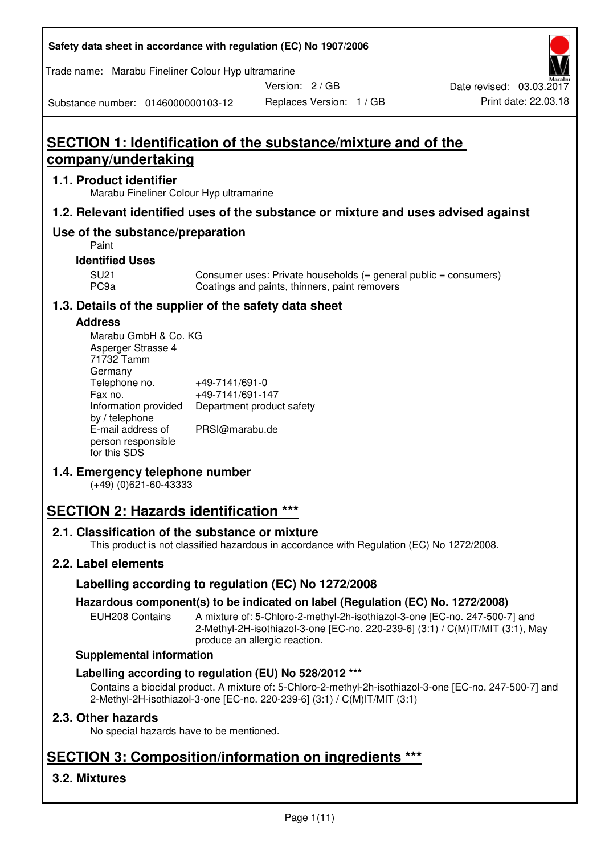**Safety data sheet in accordance with regulation (EC) No 1907/2006** 

Trade name: Marabu Fineliner Colour Hyp ultramarine

Version: 2 / GB

Substance number: 0146000000103-12

# **SECTION 1: Identification of the substance/mixture and of the company/undertaking**

## **1.1. Product identifier**

Marabu Fineliner Colour Hyp ultramarine

## **1.2. Relevant identified uses of the substance or mixture and uses advised against**

# **Use of the substance/preparation**

Paint

## **Identified Uses**

SU21 Consumer uses: Private households (= general public = consumers)<br>PC9a Coatings and paints, thinners, paint removers Coatings and paints, thinners, paint removers

# **1.3. Details of the supplier of the safety data sheet**

#### **Address**

| Marabu GmbH & Co. KG |                           |
|----------------------|---------------------------|
| Asperger Strasse 4   |                           |
| 71732 Tamm           |                           |
| Germany              |                           |
| Telephone no.        | +49-7141/691-0            |
| Fax no.              | +49-7141/691-147          |
| Information provided | Department product safety |
| by / telephone       |                           |
| E-mail address of    | PRSI@marabu.de            |
| person responsible   |                           |
| for this SDS         |                           |

# **1.4. Emergency telephone number**

(+49) (0)621-60-43333

# **SECTION 2: Hazards identification \*\*\***

# **2.1. Classification of the substance or mixture**

This product is not classified hazardous in accordance with Regulation (EC) No 1272/2008.

# **2.2. Label elements**

# **Labelling according to regulation (EC) No 1272/2008**

# **Hazardous component(s) to be indicated on label (Regulation (EC) No. 1272/2008)**

EUH208 Contains A mixture of: 5-Chloro-2-methyl-2h-isothiazol-3-one [EC-no. 247-500-7] and 2-Methyl-2H-isothiazol-3-one [EC-no. 220-239-6] (3:1) / C(M)IT/MIT (3:1), May produce an allergic reaction.

#### **Supplemental information**

# **Labelling according to regulation (EU) No 528/2012 \*\*\***

Contains a biocidal product. A mixture of: 5-Chloro-2-methyl-2h-isothiazol-3-one [EC-no. 247-500-7] and 2-Methyl-2H-isothiazol-3-one [EC-no. 220-239-6] (3:1) / C(M)IT/MIT (3:1)

# **2.3. Other hazards**

No special hazards have to be mentioned.

# **SECTION 3: Composition/information on ingredients \*\*\***

# **3.2. Mixtures**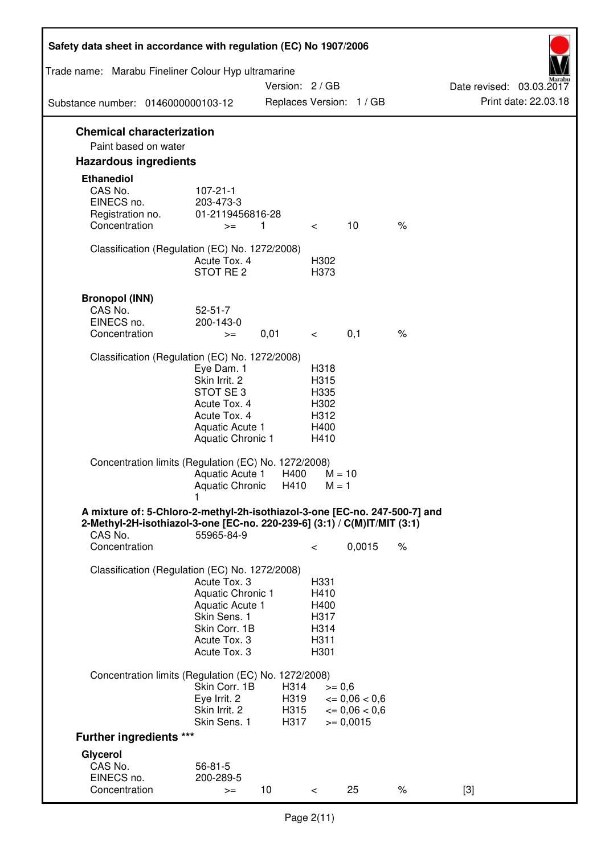| Safety data sheet in accordance with regulation (EC) No 1907/2006                                                                                                 |                                                                                                                       |                      |                                                      |                                              |      |                          |
|-------------------------------------------------------------------------------------------------------------------------------------------------------------------|-----------------------------------------------------------------------------------------------------------------------|----------------------|------------------------------------------------------|----------------------------------------------|------|--------------------------|
| Trade name: Marabu Fineliner Colour Hyp ultramarine                                                                                                               |                                                                                                                       | Version: 2 / GB      |                                                      |                                              |      | Date revised: 03.03.2017 |
| Substance number: 0146000000103-12                                                                                                                                |                                                                                                                       |                      |                                                      | Replaces Version: 1 / GB                     |      | Print date: 22.03.18     |
| <b>Chemical characterization</b><br>Paint based on water                                                                                                          |                                                                                                                       |                      |                                                      |                                              |      |                          |
| <b>Hazardous ingredients</b>                                                                                                                                      |                                                                                                                       |                      |                                                      |                                              |      |                          |
| <b>Ethanediol</b><br>CAS No.<br>EINECS no.<br>Registration no.<br>Concentration                                                                                   | $107 - 21 - 1$<br>203-473-3<br>01-2119456816-28<br>$>=$                                                               | $\overline{1}$       | $\lt$                                                | 10                                           | $\%$ |                          |
| Classification (Regulation (EC) No. 1272/2008)                                                                                                                    | Acute Tox, 4<br>STOT RE <sub>2</sub>                                                                                  |                      | H302<br>H373                                         |                                              |      |                          |
| <b>Bronopol (INN)</b><br>CAS No.<br>EINECS no.<br>Concentration                                                                                                   | $52 - 51 - 7$<br>200-143-0<br>$>=$                                                                                    | 0,01                 | $\overline{\phantom{0}}$                             | 0,1                                          | $\%$ |                          |
| Classification (Regulation (EC) No. 1272/2008)                                                                                                                    | Eye Dam. 1<br>Skin Irrit. 2<br>STOT SE3<br>Acute Tox. 4<br>Acute Tox. 4<br>Aquatic Acute 1<br>Aquatic Chronic 1       |                      | H318<br>H315<br>H335<br>H302<br>H312<br>H400<br>H410 |                                              |      |                          |
| Concentration limits (Regulation (EC) No. 1272/2008)                                                                                                              | Aquatic Acute 1<br>Aquatic Chronic                                                                                    | H400<br>H410         | $M = 1$                                              | $M = 10$                                     |      |                          |
| A mixture of: 5-Chloro-2-methyl-2h-isothiazol-3-one [EC-no. 247-500-7] and<br>2-Methyl-2H-isothiazol-3-one [EC-no. 220-239-6] (3:1) / C(M)IT/MIT (3:1)<br>CAS No. | 55965-84-9                                                                                                            |                      |                                                      |                                              |      |                          |
| Concentration                                                                                                                                                     |                                                                                                                       |                      | $\,<\,$                                              | 0,0015                                       | $\%$ |                          |
| Classification (Regulation (EC) No. 1272/2008)                                                                                                                    | Acute Tox. 3<br>Aquatic Chronic 1<br>Aquatic Acute 1<br>Skin Sens. 1<br>Skin Corr. 1B<br>Acute Tox. 3<br>Acute Tox. 3 |                      | H331<br>H410<br>H400<br>H317<br>H314<br>H311<br>H301 |                                              |      |                          |
| Concentration limits (Regulation (EC) No. 1272/2008)                                                                                                              | Skin Corr. 1B<br>Eye Irrit. 2<br>Skin Irrit. 2                                                                        | H314<br>H319<br>H315 | $>= 0,6$                                             | $\epsilon = 0.06 < 0.6$<br>$\leq 0.06 < 0.6$ |      |                          |
| <b>Further ingredients ***</b>                                                                                                                                    | Skin Sens. 1                                                                                                          | H317                 |                                                      | $>= 0,0015$                                  |      |                          |
| Glycerol                                                                                                                                                          |                                                                                                                       |                      |                                                      |                                              |      |                          |
| CAS No.<br>EINECS no.<br>Concentration                                                                                                                            | $56 - 81 - 5$<br>200-289-5<br>$>=$                                                                                    | 10                   | $\lt$                                                | 25                                           | $\%$ | $[3]$                    |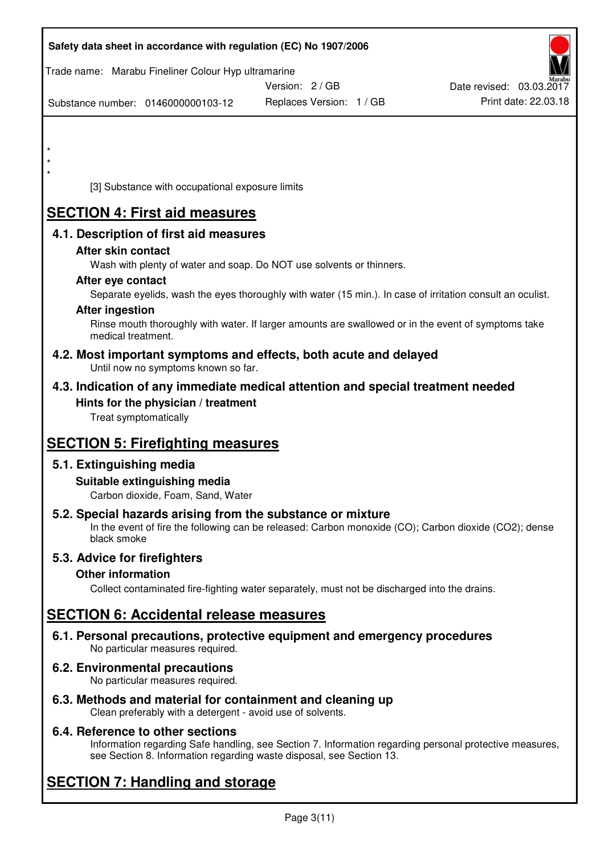| Safety data sheet in accordance with regulation (EC) No 1907/2006                                                               |                          |                          |
|---------------------------------------------------------------------------------------------------------------------------------|--------------------------|--------------------------|
| Trade name: Marabu Fineliner Colour Hyp ultramarine                                                                             |                          |                          |
|                                                                                                                                 | Version: 2 / GB          | Date revised: 03.03.2017 |
| Substance number: 0146000000103-12                                                                                              | Replaces Version: 1 / GB | Print date: 22.03.18     |
|                                                                                                                                 |                          |                          |
| $\star$                                                                                                                         |                          |                          |
|                                                                                                                                 |                          |                          |
| [3] Substance with occupational exposure limits                                                                                 |                          |                          |
| <b>SECTION 4: First aid measures</b>                                                                                            |                          |                          |
| 4.1. Description of first aid measures                                                                                          |                          |                          |
| After skin contact                                                                                                              |                          |                          |
| Wash with plenty of water and soap. Do NOT use solvents or thinners.                                                            |                          |                          |
| After eye contact<br>Separate eyelids, wash the eyes thoroughly with water (15 min.). In case of irritation consult an oculist. |                          |                          |
| <b>After ingestion</b>                                                                                                          |                          |                          |
| Rinse mouth thoroughly with water. If larger amounts are swallowed or in the event of symptoms take<br>medical treatment.       |                          |                          |
| 4.2. Most important symptoms and effects, both acute and delayed<br>Until now no symptoms known so far.                         |                          |                          |
| 4.3. Indication of any immediate medical attention and special treatment needed                                                 |                          |                          |
| Hints for the physician / treatment                                                                                             |                          |                          |
| Treat symptomatically                                                                                                           |                          |                          |
| <b>SECTION 5: Firefighting measures</b>                                                                                         |                          |                          |
| 5.1. Extinguishing media                                                                                                        |                          |                          |
| Suitable extinguishing media<br>Carbon dioxide, Foam, Sand, Water                                                               |                          |                          |
| 5.2. Special hazards arising from the substance or mixture                                                                      |                          |                          |
| In the event of fire the following can be released: Carbon monoxide (CO); Carbon dioxide (CO2); dense<br>black smoke            |                          |                          |
| 5.3. Advice for firefighters                                                                                                    |                          |                          |
| <b>Other information</b>                                                                                                        |                          |                          |
| Collect contaminated fire-fighting water separately, must not be discharged into the drains.                                    |                          |                          |
| <b>SECTION 6: Accidental release measures</b>                                                                                   |                          |                          |
| 6.1. Personal precautions, protective equipment and emergency procedures<br>No particular measures required.                    |                          |                          |
| <b>6.2. Environmental precautions</b><br>No particular measures required.                                                       |                          |                          |
| 6.3. Methods and material for containment and cleaning up                                                                       |                          |                          |

Clean preferably with a detergent - avoid use of solvents.

# **6.4. Reference to other sections**

Information regarding Safe handling, see Section 7. Information regarding personal protective measures, see Section 8. Information regarding waste disposal, see Section 13.

# **SECTION 7: Handling and storage**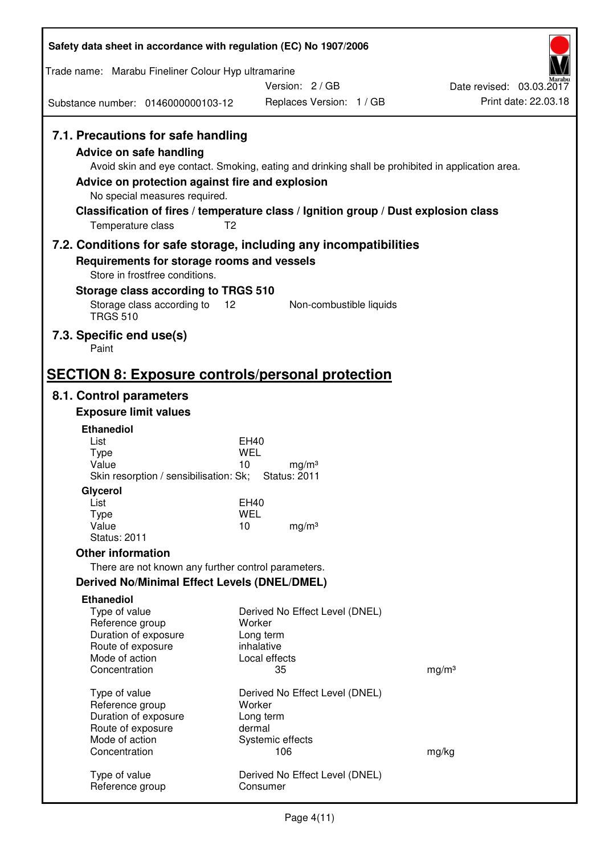| Safety data sheet in accordance with regulation (EC) No 1907/2006                                                                                                      |                                                                                                                                                                                                            |                          |
|------------------------------------------------------------------------------------------------------------------------------------------------------------------------|------------------------------------------------------------------------------------------------------------------------------------------------------------------------------------------------------------|--------------------------|
| Trade name: Marabu Fineliner Colour Hyp ultramarine                                                                                                                    |                                                                                                                                                                                                            |                          |
|                                                                                                                                                                        | Version: 2 / GB                                                                                                                                                                                            | Date revised: 03.03.2017 |
| Substance number: 0146000000103-12                                                                                                                                     | Replaces Version: 1 / GB                                                                                                                                                                                   | Print date: 22.03.18     |
| 7.1. Precautions for safe handling<br>Advice on safe handling<br>Advice on protection against fire and explosion<br>No special measures required.<br>Temperature class | Avoid skin and eye contact. Smoking, eating and drinking shall be prohibited in application area.<br>Classification of fires / temperature class / Ignition group / Dust explosion class<br>T <sub>2</sub> |                          |
|                                                                                                                                                                        | 7.2. Conditions for safe storage, including any incompatibilities                                                                                                                                          |                          |
| Requirements for storage rooms and vessels                                                                                                                             |                                                                                                                                                                                                            |                          |
| Store in frostfree conditions.<br>Storage class according to TRGS 510                                                                                                  |                                                                                                                                                                                                            |                          |
| Storage class according to<br><b>TRGS 510</b>                                                                                                                          | Non-combustible liquids<br>12                                                                                                                                                                              |                          |
| 7.3. Specific end use(s)                                                                                                                                               |                                                                                                                                                                                                            |                          |
| Paint                                                                                                                                                                  |                                                                                                                                                                                                            |                          |
|                                                                                                                                                                        | <b>SECTION 8: Exposure controls/personal protection</b>                                                                                                                                                    |                          |
| 8.1. Control parameters                                                                                                                                                |                                                                                                                                                                                                            |                          |
| <b>Exposure limit values</b>                                                                                                                                           |                                                                                                                                                                                                            |                          |
| <b>Ethanediol</b><br>List                                                                                                                                              | EH40                                                                                                                                                                                                       |                          |
| <b>Type</b>                                                                                                                                                            | <b>WEL</b>                                                                                                                                                                                                 |                          |
| Value<br>Skin resorption / sensibilisation: Sk;                                                                                                                        | 10<br>mg/m <sup>3</sup><br><b>Status: 2011</b>                                                                                                                                                             |                          |
| Glycerol                                                                                                                                                               |                                                                                                                                                                                                            |                          |
| List                                                                                                                                                                   | <b>EH40</b>                                                                                                                                                                                                |                          |
| Type<br>Value                                                                                                                                                          | <b>WEL</b><br>10<br>mg/m <sup>3</sup>                                                                                                                                                                      |                          |
| <b>Status: 2011</b>                                                                                                                                                    |                                                                                                                                                                                                            |                          |
| <b>Other information</b>                                                                                                                                               |                                                                                                                                                                                                            |                          |
| There are not known any further control parameters.                                                                                                                    |                                                                                                                                                                                                            |                          |
| Derived No/Minimal Effect Levels (DNEL/DMEL)                                                                                                                           |                                                                                                                                                                                                            |                          |
| <b>Ethanediol</b><br>Type of value<br>Reference group<br>Duration of exposure<br>Route of exposure                                                                     | Derived No Effect Level (DNEL)<br>Worker<br>Long term<br>inhalative                                                                                                                                        |                          |
| Mode of action<br>Concentration                                                                                                                                        | Local effects<br>35                                                                                                                                                                                        | mg/m <sup>3</sup>        |
| Type of value<br>Reference group<br>Duration of exposure<br>Route of exposure<br>Mode of action                                                                        | Derived No Effect Level (DNEL)<br>Worker<br>Long term<br>dermal<br>Systemic effects                                                                                                                        |                          |
| Concentration                                                                                                                                                          | 106                                                                                                                                                                                                        | mg/kg                    |
| Type of value<br>Reference group                                                                                                                                       | Derived No Effect Level (DNEL)<br>Consumer                                                                                                                                                                 |                          |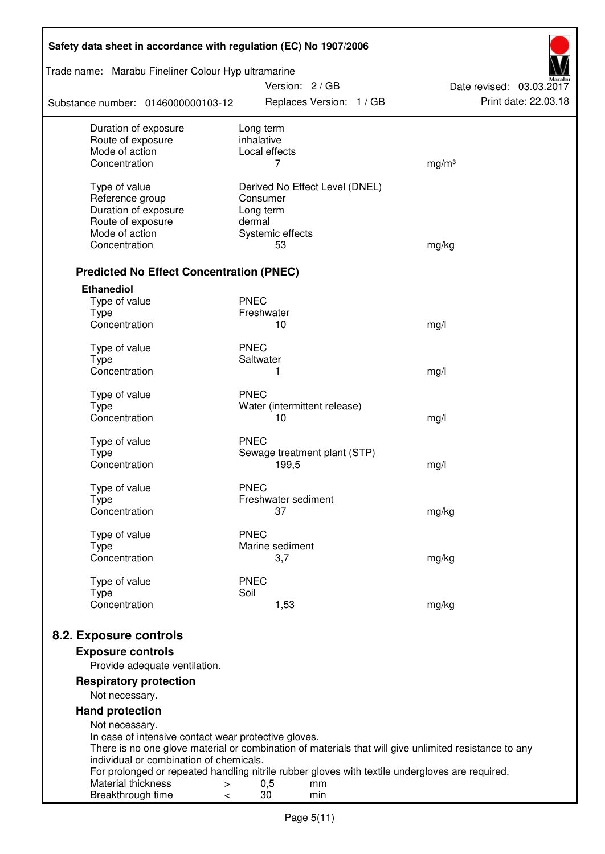| Safety data sheet in accordance with regulation (EC) No 1907/2006                                     |                             |                           |                                |                          |  |
|-------------------------------------------------------------------------------------------------------|-----------------------------|---------------------------|--------------------------------|--------------------------|--|
| Trade name: Marabu Fineliner Colour Hyp ultramarine                                                   |                             | Version: 2/GB             |                                | Date revised: 03.03.2017 |  |
| Substance number: 0146000000103-12                                                                    |                             |                           | Replaces Version: 1 / GB       | Print date: 22.03.18     |  |
| Duration of exposure                                                                                  | Long term                   |                           |                                |                          |  |
| Route of exposure<br>Mode of action                                                                   | inhalative<br>Local effects |                           |                                |                          |  |
| Concentration                                                                                         |                             | 7                         |                                | mg/m <sup>3</sup>        |  |
|                                                                                                       |                             |                           |                                |                          |  |
| Type of value                                                                                         |                             |                           | Derived No Effect Level (DNEL) |                          |  |
| Reference group                                                                                       | Consumer                    |                           |                                |                          |  |
| Duration of exposure<br>Route of exposure                                                             | Long term<br>dermal         |                           |                                |                          |  |
| Mode of action                                                                                        |                             | Systemic effects          |                                |                          |  |
| Concentration                                                                                         |                             | 53                        |                                | mg/kg                    |  |
|                                                                                                       |                             |                           |                                |                          |  |
| <b>Predicted No Effect Concentration (PNEC)</b>                                                       |                             |                           |                                |                          |  |
| <b>Ethanediol</b>                                                                                     |                             |                           |                                |                          |  |
| Type of value                                                                                         | <b>PNEC</b>                 |                           |                                |                          |  |
| <b>Type</b><br>Concentration                                                                          | Freshwater                  |                           |                                |                          |  |
|                                                                                                       |                             | 10                        |                                | mg/l                     |  |
| Type of value                                                                                         | <b>PNEC</b>                 |                           |                                |                          |  |
| <b>Type</b>                                                                                           | Saltwater                   |                           |                                |                          |  |
| Concentration                                                                                         |                             | 1                         |                                | mg/l                     |  |
| Type of value                                                                                         | <b>PNEC</b>                 |                           |                                |                          |  |
| <b>Type</b>                                                                                           |                             |                           | Water (intermittent release)   |                          |  |
| Concentration                                                                                         |                             | 10                        |                                | mg/l                     |  |
|                                                                                                       | <b>PNEC</b>                 |                           |                                |                          |  |
| Type of value<br><b>Type</b>                                                                          |                             |                           | Sewage treatment plant (STP)   |                          |  |
| Concentration                                                                                         |                             | 199,5                     |                                | mg/l                     |  |
|                                                                                                       |                             |                           |                                |                          |  |
| Type of value                                                                                         | <b>PNEC</b>                 |                           |                                |                          |  |
| Type<br>Concentration                                                                                 |                             | Freshwater sediment<br>37 |                                | mg/kg                    |  |
|                                                                                                       |                             |                           |                                |                          |  |
| Type of value                                                                                         | <b>PNEC</b>                 |                           |                                |                          |  |
| <b>Type</b>                                                                                           |                             | Marine sediment           |                                |                          |  |
| Concentration                                                                                         |                             | 3,7                       |                                | mg/kg                    |  |
| Type of value                                                                                         | <b>PNEC</b>                 |                           |                                |                          |  |
| <b>Type</b>                                                                                           | Soil                        |                           |                                |                          |  |
| Concentration                                                                                         |                             | 1,53                      |                                | mg/kg                    |  |
|                                                                                                       |                             |                           |                                |                          |  |
| 8.2. Exposure controls                                                                                |                             |                           |                                |                          |  |
| <b>Exposure controls</b>                                                                              |                             |                           |                                |                          |  |
| Provide adequate ventilation.                                                                         |                             |                           |                                |                          |  |
| <b>Respiratory protection</b><br>Not necessary.                                                       |                             |                           |                                |                          |  |
|                                                                                                       |                             |                           |                                |                          |  |
| <b>Hand protection</b>                                                                                |                             |                           |                                |                          |  |
| Not necessary.<br>In case of intensive contact wear protective gloves.                                |                             |                           |                                |                          |  |
| There is no one glove material or combination of materials that will give unlimited resistance to any |                             |                           |                                |                          |  |
| individual or combination of chemicals.                                                               |                             |                           |                                |                          |  |
| For prolonged or repeated handling nitrile rubber gloves with textile undergloves are required.       |                             |                           |                                |                          |  |
| Material thickness<br>><br>Breakthrough time<br>$\,<\,$                                               | 30                          | 0,5                       | mm<br>min                      |                          |  |
|                                                                                                       |                             |                           |                                |                          |  |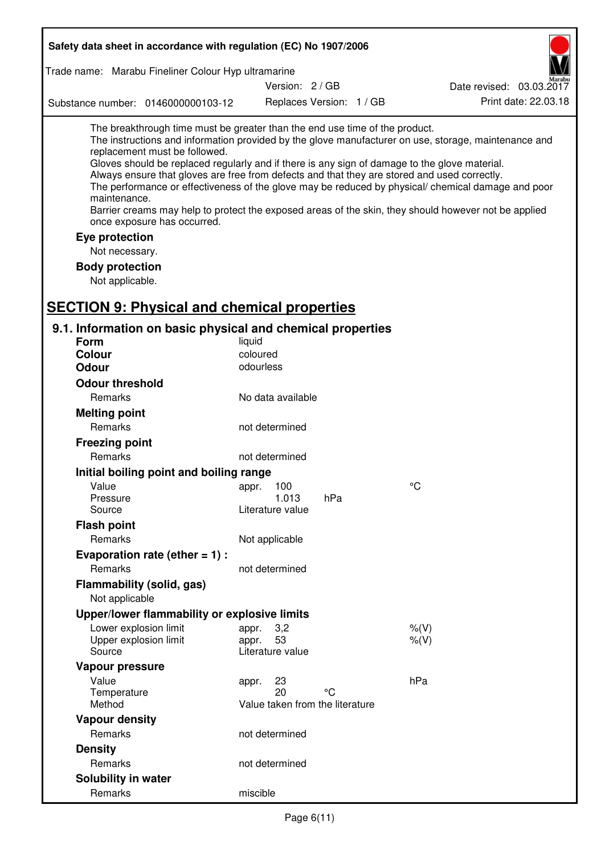| Safety data sheet in accordance with regulation (EC) No 1907/2006                                                                                                                                                                                                                                                                                                              |                                                      |                          |                                                                                                                                                                                                                                                                                                                    |
|--------------------------------------------------------------------------------------------------------------------------------------------------------------------------------------------------------------------------------------------------------------------------------------------------------------------------------------------------------------------------------|------------------------------------------------------|--------------------------|--------------------------------------------------------------------------------------------------------------------------------------------------------------------------------------------------------------------------------------------------------------------------------------------------------------------|
| Trade name: Marabu Fineliner Colour Hyp ultramarine                                                                                                                                                                                                                                                                                                                            |                                                      |                          |                                                                                                                                                                                                                                                                                                                    |
|                                                                                                                                                                                                                                                                                                                                                                                | Version: 2 / GB                                      |                          | Date revised: 03.03.2017                                                                                                                                                                                                                                                                                           |
| Substance number: 0146000000103-12                                                                                                                                                                                                                                                                                                                                             |                                                      | Replaces Version: 1 / GB | Print date: 22.03.18                                                                                                                                                                                                                                                                                               |
| The breakthrough time must be greater than the end use time of the product.<br>replacement must be followed.<br>Gloves should be replaced regularly and if there is any sign of damage to the glove material.<br>Always ensure that gloves are free from defects and that they are stored and used correctly.<br>maintenance.<br>once exposure has occurred.<br>Eye protection |                                                      |                          | The instructions and information provided by the glove manufacturer on use, storage, maintenance and<br>The performance or effectiveness of the glove may be reduced by physical/ chemical damage and poor<br>Barrier creams may help to protect the exposed areas of the skin, they should however not be applied |
| Not necessary.                                                                                                                                                                                                                                                                                                                                                                 |                                                      |                          |                                                                                                                                                                                                                                                                                                                    |
| <b>Body protection</b>                                                                                                                                                                                                                                                                                                                                                         |                                                      |                          |                                                                                                                                                                                                                                                                                                                    |
| Not applicable.                                                                                                                                                                                                                                                                                                                                                                |                                                      |                          |                                                                                                                                                                                                                                                                                                                    |
| <b>SECTION 9: Physical and chemical properties</b>                                                                                                                                                                                                                                                                                                                             |                                                      |                          |                                                                                                                                                                                                                                                                                                                    |
| 9.1. Information on basic physical and chemical properties                                                                                                                                                                                                                                                                                                                     |                                                      |                          |                                                                                                                                                                                                                                                                                                                    |
| <b>Form</b>                                                                                                                                                                                                                                                                                                                                                                    | liquid                                               |                          |                                                                                                                                                                                                                                                                                                                    |
| Colour                                                                                                                                                                                                                                                                                                                                                                         | coloured                                             |                          |                                                                                                                                                                                                                                                                                                                    |
| <b>Odour</b>                                                                                                                                                                                                                                                                                                                                                                   | odourless                                            |                          |                                                                                                                                                                                                                                                                                                                    |
| <b>Odour threshold</b>                                                                                                                                                                                                                                                                                                                                                         |                                                      |                          |                                                                                                                                                                                                                                                                                                                    |
| Remarks                                                                                                                                                                                                                                                                                                                                                                        | No data available                                    |                          |                                                                                                                                                                                                                                                                                                                    |
| <b>Melting point</b>                                                                                                                                                                                                                                                                                                                                                           |                                                      |                          |                                                                                                                                                                                                                                                                                                                    |
| Remarks                                                                                                                                                                                                                                                                                                                                                                        | not determined                                       |                          |                                                                                                                                                                                                                                                                                                                    |
| <b>Freezing point</b>                                                                                                                                                                                                                                                                                                                                                          |                                                      |                          |                                                                                                                                                                                                                                                                                                                    |
| Remarks                                                                                                                                                                                                                                                                                                                                                                        | not determined                                       |                          |                                                                                                                                                                                                                                                                                                                    |
| Initial boiling point and boiling range                                                                                                                                                                                                                                                                                                                                        |                                                      |                          |                                                                                                                                                                                                                                                                                                                    |
| Value                                                                                                                                                                                                                                                                                                                                                                          | 100<br>appr.<br>1.013                                |                          | $\rm ^{\circ}C$                                                                                                                                                                                                                                                                                                    |
| Pressure<br>Source                                                                                                                                                                                                                                                                                                                                                             | Literature value                                     | hPa                      |                                                                                                                                                                                                                                                                                                                    |
| <b>Flash point</b>                                                                                                                                                                                                                                                                                                                                                             |                                                      |                          |                                                                                                                                                                                                                                                                                                                    |
| Remarks                                                                                                                                                                                                                                                                                                                                                                        | Not applicable                                       |                          |                                                                                                                                                                                                                                                                                                                    |
| Evaporation rate (ether $= 1$ ) :                                                                                                                                                                                                                                                                                                                                              |                                                      |                          |                                                                                                                                                                                                                                                                                                                    |
| Remarks                                                                                                                                                                                                                                                                                                                                                                        | not determined                                       |                          |                                                                                                                                                                                                                                                                                                                    |
| Flammability (solid, gas)<br>Not applicable                                                                                                                                                                                                                                                                                                                                    |                                                      |                          |                                                                                                                                                                                                                                                                                                                    |
| Upper/lower flammability or explosive limits                                                                                                                                                                                                                                                                                                                                   |                                                      |                          |                                                                                                                                                                                                                                                                                                                    |
| Lower explosion limit<br>Upper explosion limit<br>Source                                                                                                                                                                                                                                                                                                                       | 3,2<br>appr.<br>53<br>appr.<br>Literature value      |                          | $%$ $(V)$<br>$%$ $(V)$                                                                                                                                                                                                                                                                                             |
| Vapour pressure                                                                                                                                                                                                                                                                                                                                                                |                                                      |                          |                                                                                                                                                                                                                                                                                                                    |
| Value<br>Temperature<br>Method                                                                                                                                                                                                                                                                                                                                                 | 23<br>appr.<br>20<br>Value taken from the literature | °C                       | hPa                                                                                                                                                                                                                                                                                                                |
| <b>Vapour density</b>                                                                                                                                                                                                                                                                                                                                                          |                                                      |                          |                                                                                                                                                                                                                                                                                                                    |
| Remarks                                                                                                                                                                                                                                                                                                                                                                        | not determined                                       |                          |                                                                                                                                                                                                                                                                                                                    |
| <b>Density</b>                                                                                                                                                                                                                                                                                                                                                                 |                                                      |                          |                                                                                                                                                                                                                                                                                                                    |
| Remarks                                                                                                                                                                                                                                                                                                                                                                        | not determined                                       |                          |                                                                                                                                                                                                                                                                                                                    |
| <b>Solubility in water</b>                                                                                                                                                                                                                                                                                                                                                     |                                                      |                          |                                                                                                                                                                                                                                                                                                                    |
| Remarks                                                                                                                                                                                                                                                                                                                                                                        | miscible                                             |                          |                                                                                                                                                                                                                                                                                                                    |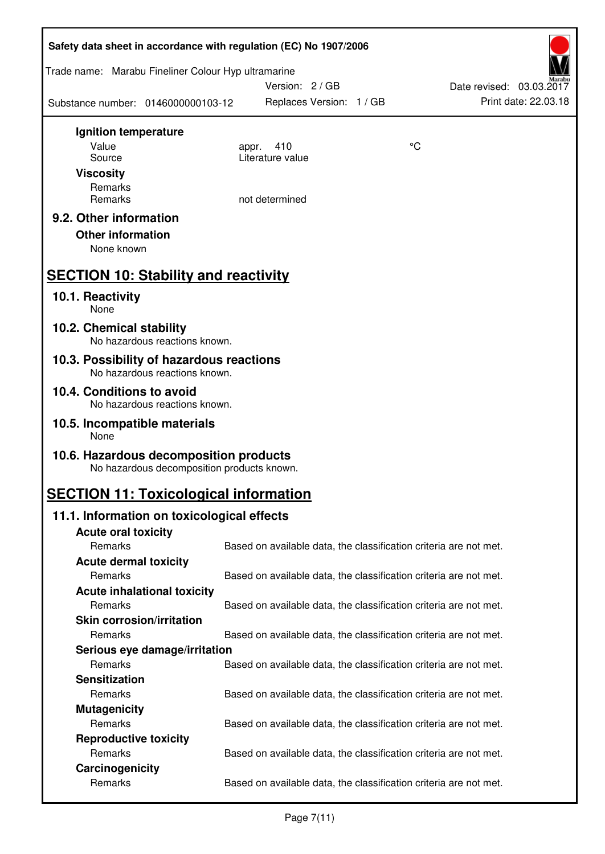| Safety data sheet in accordance with regulation (EC) No 1907/2006 |                                            |                                                                   |    |                          |  |
|-------------------------------------------------------------------|--------------------------------------------|-------------------------------------------------------------------|----|--------------------------|--|
| Trade name: Marabu Fineliner Colour Hyp ultramarine               |                                            | Version: 2 / GB                                                   |    | Date revised: 03.03.2017 |  |
| Substance number: 0146000000103-12                                |                                            | Replaces Version: 1 / GB                                          |    | Print date: 22.03.18     |  |
| Ignition temperature                                              |                                            |                                                                   |    |                          |  |
| Value                                                             | appr.                                      | 410                                                               | °C |                          |  |
| Source                                                            |                                            | Literature value                                                  |    |                          |  |
| <b>Viscosity</b>                                                  |                                            |                                                                   |    |                          |  |
| Remarks                                                           |                                            |                                                                   |    |                          |  |
| Remarks                                                           |                                            | not determined                                                    |    |                          |  |
| 9.2. Other information                                            |                                            |                                                                   |    |                          |  |
| <b>Other information</b>                                          |                                            |                                                                   |    |                          |  |
| None known                                                        |                                            |                                                                   |    |                          |  |
| <b>SECTION 10: Stability and reactivity</b>                       |                                            |                                                                   |    |                          |  |
| 10.1. Reactivity<br>None                                          |                                            |                                                                   |    |                          |  |
| 10.2. Chemical stability                                          |                                            |                                                                   |    |                          |  |
| 10.3. Possibility of hazardous reactions                          | No hazardous reactions known.              |                                                                   |    |                          |  |
| No hazardous reactions known.                                     |                                            |                                                                   |    |                          |  |
| 10.4. Conditions to avoid                                         | No hazardous reactions known.              |                                                                   |    |                          |  |
| 10.5. Incompatible materials<br>None                              |                                            |                                                                   |    |                          |  |
| 10.6. Hazardous decomposition products                            | No hazardous decomposition products known. |                                                                   |    |                          |  |
| <b>SECTION 11: Toxicological information</b>                      |                                            |                                                                   |    |                          |  |
| 11.1. Information on toxicological effects                        |                                            |                                                                   |    |                          |  |
| <b>Acute oral toxicity</b>                                        |                                            |                                                                   |    |                          |  |
| Remarks                                                           |                                            | Based on available data, the classification criteria are not met. |    |                          |  |
| <b>Acute dermal toxicity</b>                                      |                                            |                                                                   |    |                          |  |
| Remarks                                                           |                                            | Based on available data, the classification criteria are not met. |    |                          |  |
| <b>Acute inhalational toxicity</b>                                |                                            |                                                                   |    |                          |  |
| Remarks                                                           |                                            | Based on available data, the classification criteria are not met. |    |                          |  |
| <b>Skin corrosion/irritation</b>                                  |                                            |                                                                   |    |                          |  |
| Remarks                                                           |                                            | Based on available data, the classification criteria are not met. |    |                          |  |
| Serious eye damage/irritation                                     |                                            |                                                                   |    |                          |  |
| Remarks                                                           |                                            | Based on available data, the classification criteria are not met. |    |                          |  |
| <b>Sensitization</b>                                              |                                            |                                                                   |    |                          |  |
| Remarks                                                           |                                            | Based on available data, the classification criteria are not met. |    |                          |  |
| <b>Mutagenicity</b>                                               |                                            |                                                                   |    |                          |  |
| Remarks                                                           |                                            | Based on available data, the classification criteria are not met. |    |                          |  |
| <b>Reproductive toxicity</b>                                      |                                            |                                                                   |    |                          |  |
| Remarks                                                           |                                            | Based on available data, the classification criteria are not met. |    |                          |  |
| Carcinogenicity                                                   |                                            |                                                                   |    |                          |  |
| Remarks                                                           |                                            | Based on available data, the classification criteria are not met. |    |                          |  |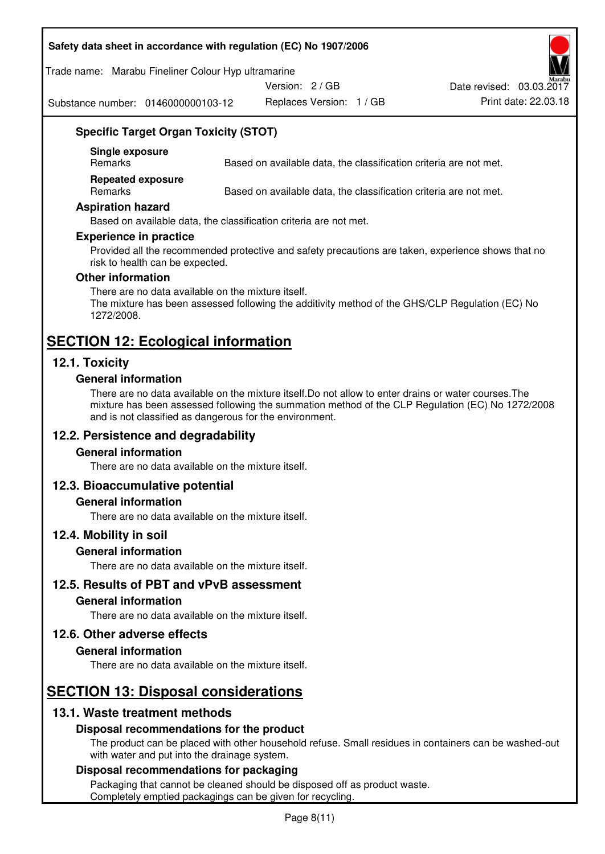#### **Safety data sheet in accordance with regulation (EC) No 1907/2006**

#### Trade name: Marabu Fineliner Colour Hyp ultramarine

Version: 2 / GB

Substance number: 0146000000103-12

Replaces Version: 1 / GB Print date: 22.03.18 Date revised: 03.03.2017

# **Specific Target Organ Toxicity (STOT)**

**Single exposure** 

Based on available data, the classification criteria are not met.

**Repeated exposure** 

Remarks Based on available data, the classification criteria are not met.

#### **Aspiration hazard**

Based on available data, the classification criteria are not met.

#### **Experience in practice**

Provided all the recommended protective and safety precautions are taken, experience shows that no risk to health can be expected.

#### **Other information**

There are no data available on the mixture itself. The mixture has been assessed following the additivity method of the GHS/CLP Regulation (EC) No 1272/2008.

# **SECTION 12: Ecological information**

# **12.1. Toxicity**

#### **General information**

There are no data available on the mixture itself.Do not allow to enter drains or water courses.The mixture has been assessed following the summation method of the CLP Regulation (EC) No 1272/2008 and is not classified as dangerous for the environment.

# **12.2. Persistence and degradability**

#### **General information**

There are no data available on the mixture itself.

#### **12.3. Bioaccumulative potential**

#### **General information**

There are no data available on the mixture itself.

#### **12.4. Mobility in soil**

#### **General information**

There are no data available on the mixture itself.

**12.5. Results of PBT and vPvB assessment** 

#### **General information**

There are no data available on the mixture itself.

#### **12.6. Other adverse effects**

#### **General information**

There are no data available on the mixture itself.

# **SECTION 13: Disposal considerations**

# **13.1. Waste treatment methods**

#### **Disposal recommendations for the product**

The product can be placed with other household refuse. Small residues in containers can be washed-out with water and put into the drainage system.

#### **Disposal recommendations for packaging**

Packaging that cannot be cleaned should be disposed off as product waste. Completely emptied packagings can be given for recycling.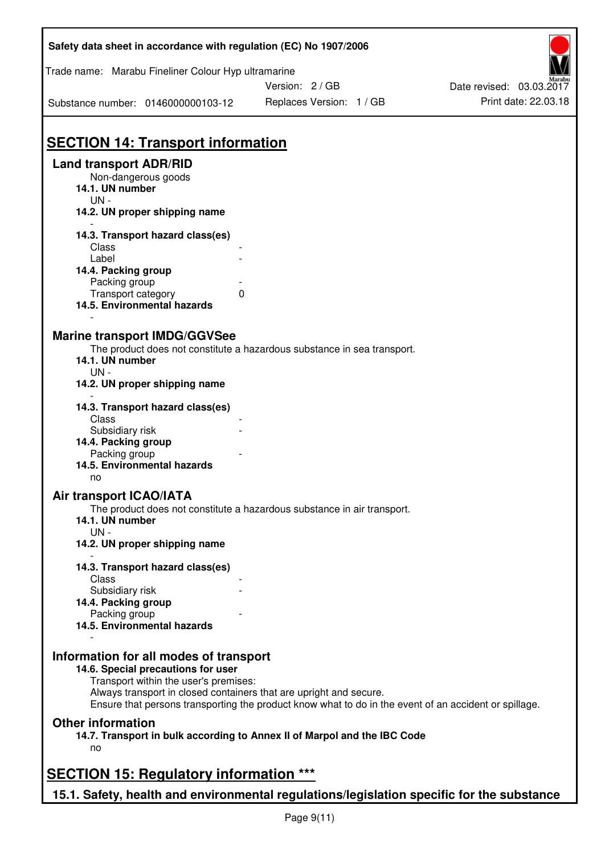| Safety data sheet in accordance with regulation (EC) No 1907/2006                                                     |                                                                                                       |                          |
|-----------------------------------------------------------------------------------------------------------------------|-------------------------------------------------------------------------------------------------------|--------------------------|
| Trade name: Marabu Fineliner Colour Hyp ultramarine                                                                   |                                                                                                       |                          |
|                                                                                                                       | Version: 2 / GB                                                                                       | Date revised: 03.03.2017 |
| Substance number: 0146000000103-12                                                                                    | Replaces Version: 1 / GB                                                                              | Print date: 22.03.18     |
|                                                                                                                       |                                                                                                       |                          |
| <b>SECTION 14: Transport information</b>                                                                              |                                                                                                       |                          |
| <b>Land transport ADR/RID</b>                                                                                         |                                                                                                       |                          |
| Non-dangerous goods<br>14.1. UN number<br>$UN -$                                                                      |                                                                                                       |                          |
| 14.2. UN proper shipping name                                                                                         |                                                                                                       |                          |
| 14.3. Transport hazard class(es)                                                                                      |                                                                                                       |                          |
| Class<br>Label                                                                                                        |                                                                                                       |                          |
| 14.4. Packing group                                                                                                   |                                                                                                       |                          |
| Packing group                                                                                                         |                                                                                                       |                          |
| Transport category                                                                                                    | 0                                                                                                     |                          |
| 14.5. Environmental hazards                                                                                           |                                                                                                       |                          |
| <b>Marine transport IMDG/GGVSee</b><br>14.1. UN number<br>$UN -$<br>14.2. UN proper shipping name                     | The product does not constitute a hazardous substance in sea transport.                               |                          |
| 14.3. Transport hazard class(es)                                                                                      |                                                                                                       |                          |
| Class                                                                                                                 |                                                                                                       |                          |
| Subsidiary risk                                                                                                       |                                                                                                       |                          |
| 14.4. Packing group                                                                                                   |                                                                                                       |                          |
| Packing group<br>14.5. Environmental hazards                                                                          |                                                                                                       |                          |
| no                                                                                                                    |                                                                                                       |                          |
| Air transport ICAO/IATA                                                                                               |                                                                                                       |                          |
| 14.1. UN number<br>$UN -$                                                                                             | The product does not constitute a hazardous substance in air transport.                               |                          |
| 14.2. UN proper shipping name                                                                                         |                                                                                                       |                          |
| 14.3. Transport hazard class(es)                                                                                      |                                                                                                       |                          |
| Class                                                                                                                 |                                                                                                       |                          |
| Subsidiary risk                                                                                                       |                                                                                                       |                          |
| 14.4. Packing group                                                                                                   |                                                                                                       |                          |
| Packing group<br>14.5. Environmental hazards                                                                          |                                                                                                       |                          |
| Information for all modes of transport<br>14.6. Special precautions for user<br>Transport within the user's premises: | Always transport in closed containers that are upright and secure.                                    |                          |
|                                                                                                                       | Ensure that persons transporting the product know what to do in the event of an accident or spillage. |                          |
| <b>Other information</b>                                                                                              |                                                                                                       |                          |
| no                                                                                                                    | 14.7. Transport in bulk according to Annex II of Marpol and the IBC Code                              |                          |
| <b>SECTION 15: Regulatory information ***</b>                                                                         |                                                                                                       |                          |
| 15.1. Safety, health and environmental regulations/legislation specific for the substance                             |                                                                                                       |                          |
|                                                                                                                       |                                                                                                       |                          |

ī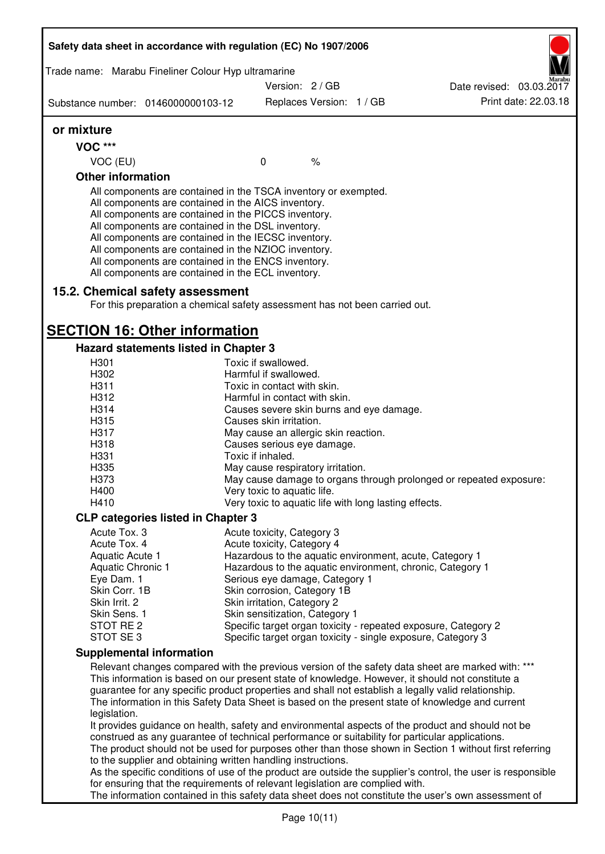| Substance number: 0146000000103-12<br>or mixture<br><b>VOC ***</b><br>VOC (EU)<br><b>Other information</b><br>All components are contained in the TSCA inventory or exempted.<br>All components are contained in the AICS inventory.<br>All components are contained in the PICCS inventory.<br>All components are contained in the DSL inventory.<br>All components are contained in the IECSC inventory.<br>All components are contained in the NZIOC inventory.<br>All components are contained in the ENCS inventory.<br>All components are contained in the ECL inventory.<br>15.2. Chemical safety assessment<br><b>SECTION 16: Other information</b><br><b>Hazard statements listed in Chapter 3</b><br>H301<br>H302<br>H311<br>H312<br>H314<br>H315<br>H317<br>H318<br>H331<br>H335<br>H373<br>H400<br>H410<br><b>CLP categories listed in Chapter 3</b><br>Acute Tox. 3<br>Acute Tox. 4<br>Aquatic Acute 1<br>Aquatic Chronic 1<br>Eye Dam. 1<br>Skin Corr. 1B<br>Skin Irrit. 2<br>Skin Sens. 1<br>STOT RE <sub>2</sub> | Version: 2 / GB<br>Date revised: 03.03.2017<br>Print date: 22.03.18<br>Replaces Version: 1 / GB<br>$\%$<br>$\mathbf{0}$<br>For this preparation a chemical safety assessment has not been carried out.<br>Toxic if swallowed.<br>Harmful if swallowed.<br>Toxic in contact with skin.<br>Harmful in contact with skin.<br>Causes severe skin burns and eye damage.<br>Causes skin irritation. |
|----------------------------------------------------------------------------------------------------------------------------------------------------------------------------------------------------------------------------------------------------------------------------------------------------------------------------------------------------------------------------------------------------------------------------------------------------------------------------------------------------------------------------------------------------------------------------------------------------------------------------------------------------------------------------------------------------------------------------------------------------------------------------------------------------------------------------------------------------------------------------------------------------------------------------------------------------------------------------------------------------------------------------------|-----------------------------------------------------------------------------------------------------------------------------------------------------------------------------------------------------------------------------------------------------------------------------------------------------------------------------------------------------------------------------------------------|
|                                                                                                                                                                                                                                                                                                                                                                                                                                                                                                                                                                                                                                                                                                                                                                                                                                                                                                                                                                                                                                  |                                                                                                                                                                                                                                                                                                                                                                                               |
|                                                                                                                                                                                                                                                                                                                                                                                                                                                                                                                                                                                                                                                                                                                                                                                                                                                                                                                                                                                                                                  |                                                                                                                                                                                                                                                                                                                                                                                               |
|                                                                                                                                                                                                                                                                                                                                                                                                                                                                                                                                                                                                                                                                                                                                                                                                                                                                                                                                                                                                                                  |                                                                                                                                                                                                                                                                                                                                                                                               |
|                                                                                                                                                                                                                                                                                                                                                                                                                                                                                                                                                                                                                                                                                                                                                                                                                                                                                                                                                                                                                                  |                                                                                                                                                                                                                                                                                                                                                                                               |
|                                                                                                                                                                                                                                                                                                                                                                                                                                                                                                                                                                                                                                                                                                                                                                                                                                                                                                                                                                                                                                  |                                                                                                                                                                                                                                                                                                                                                                                               |
|                                                                                                                                                                                                                                                                                                                                                                                                                                                                                                                                                                                                                                                                                                                                                                                                                                                                                                                                                                                                                                  |                                                                                                                                                                                                                                                                                                                                                                                               |
|                                                                                                                                                                                                                                                                                                                                                                                                                                                                                                                                                                                                                                                                                                                                                                                                                                                                                                                                                                                                                                  |                                                                                                                                                                                                                                                                                                                                                                                               |
|                                                                                                                                                                                                                                                                                                                                                                                                                                                                                                                                                                                                                                                                                                                                                                                                                                                                                                                                                                                                                                  |                                                                                                                                                                                                                                                                                                                                                                                               |
|                                                                                                                                                                                                                                                                                                                                                                                                                                                                                                                                                                                                                                                                                                                                                                                                                                                                                                                                                                                                                                  |                                                                                                                                                                                                                                                                                                                                                                                               |
|                                                                                                                                                                                                                                                                                                                                                                                                                                                                                                                                                                                                                                                                                                                                                                                                                                                                                                                                                                                                                                  |                                                                                                                                                                                                                                                                                                                                                                                               |
|                                                                                                                                                                                                                                                                                                                                                                                                                                                                                                                                                                                                                                                                                                                                                                                                                                                                                                                                                                                                                                  |                                                                                                                                                                                                                                                                                                                                                                                               |
|                                                                                                                                                                                                                                                                                                                                                                                                                                                                                                                                                                                                                                                                                                                                                                                                                                                                                                                                                                                                                                  |                                                                                                                                                                                                                                                                                                                                                                                               |
|                                                                                                                                                                                                                                                                                                                                                                                                                                                                                                                                                                                                                                                                                                                                                                                                                                                                                                                                                                                                                                  |                                                                                                                                                                                                                                                                                                                                                                                               |
|                                                                                                                                                                                                                                                                                                                                                                                                                                                                                                                                                                                                                                                                                                                                                                                                                                                                                                                                                                                                                                  |                                                                                                                                                                                                                                                                                                                                                                                               |
|                                                                                                                                                                                                                                                                                                                                                                                                                                                                                                                                                                                                                                                                                                                                                                                                                                                                                                                                                                                                                                  |                                                                                                                                                                                                                                                                                                                                                                                               |
|                                                                                                                                                                                                                                                                                                                                                                                                                                                                                                                                                                                                                                                                                                                                                                                                                                                                                                                                                                                                                                  |                                                                                                                                                                                                                                                                                                                                                                                               |
|                                                                                                                                                                                                                                                                                                                                                                                                                                                                                                                                                                                                                                                                                                                                                                                                                                                                                                                                                                                                                                  | May cause an allergic skin reaction.                                                                                                                                                                                                                                                                                                                                                          |
|                                                                                                                                                                                                                                                                                                                                                                                                                                                                                                                                                                                                                                                                                                                                                                                                                                                                                                                                                                                                                                  | Causes serious eye damage.                                                                                                                                                                                                                                                                                                                                                                    |
|                                                                                                                                                                                                                                                                                                                                                                                                                                                                                                                                                                                                                                                                                                                                                                                                                                                                                                                                                                                                                                  | Toxic if inhaled.                                                                                                                                                                                                                                                                                                                                                                             |
|                                                                                                                                                                                                                                                                                                                                                                                                                                                                                                                                                                                                                                                                                                                                                                                                                                                                                                                                                                                                                                  | May cause respiratory irritation.                                                                                                                                                                                                                                                                                                                                                             |
|                                                                                                                                                                                                                                                                                                                                                                                                                                                                                                                                                                                                                                                                                                                                                                                                                                                                                                                                                                                                                                  | May cause damage to organs through prolonged or repeated exposure:                                                                                                                                                                                                                                                                                                                            |
|                                                                                                                                                                                                                                                                                                                                                                                                                                                                                                                                                                                                                                                                                                                                                                                                                                                                                                                                                                                                                                  | Very toxic to aquatic life.                                                                                                                                                                                                                                                                                                                                                                   |
|                                                                                                                                                                                                                                                                                                                                                                                                                                                                                                                                                                                                                                                                                                                                                                                                                                                                                                                                                                                                                                  | Very toxic to aquatic life with long lasting effects.                                                                                                                                                                                                                                                                                                                                         |
|                                                                                                                                                                                                                                                                                                                                                                                                                                                                                                                                                                                                                                                                                                                                                                                                                                                                                                                                                                                                                                  |                                                                                                                                                                                                                                                                                                                                                                                               |
|                                                                                                                                                                                                                                                                                                                                                                                                                                                                                                                                                                                                                                                                                                                                                                                                                                                                                                                                                                                                                                  | Acute toxicity, Category 3                                                                                                                                                                                                                                                                                                                                                                    |
|                                                                                                                                                                                                                                                                                                                                                                                                                                                                                                                                                                                                                                                                                                                                                                                                                                                                                                                                                                                                                                  | Acute toxicity, Category 4                                                                                                                                                                                                                                                                                                                                                                    |
|                                                                                                                                                                                                                                                                                                                                                                                                                                                                                                                                                                                                                                                                                                                                                                                                                                                                                                                                                                                                                                  | Hazardous to the aquatic environment, acute, Category 1                                                                                                                                                                                                                                                                                                                                       |
|                                                                                                                                                                                                                                                                                                                                                                                                                                                                                                                                                                                                                                                                                                                                                                                                                                                                                                                                                                                                                                  | Hazardous to the aquatic environment, chronic, Category 1                                                                                                                                                                                                                                                                                                                                     |
|                                                                                                                                                                                                                                                                                                                                                                                                                                                                                                                                                                                                                                                                                                                                                                                                                                                                                                                                                                                                                                  | Serious eye damage, Category 1<br>Skin corrosion, Category 1B                                                                                                                                                                                                                                                                                                                                 |
|                                                                                                                                                                                                                                                                                                                                                                                                                                                                                                                                                                                                                                                                                                                                                                                                                                                                                                                                                                                                                                  | Skin irritation, Category 2                                                                                                                                                                                                                                                                                                                                                                   |
|                                                                                                                                                                                                                                                                                                                                                                                                                                                                                                                                                                                                                                                                                                                                                                                                                                                                                                                                                                                                                                  | Skin sensitization, Category 1                                                                                                                                                                                                                                                                                                                                                                |
|                                                                                                                                                                                                                                                                                                                                                                                                                                                                                                                                                                                                                                                                                                                                                                                                                                                                                                                                                                                                                                  | Specific target organ toxicity - repeated exposure, Category 2                                                                                                                                                                                                                                                                                                                                |
| STOT SE <sub>3</sub>                                                                                                                                                                                                                                                                                                                                                                                                                                                                                                                                                                                                                                                                                                                                                                                                                                                                                                                                                                                                             | Specific target organ toxicity - single exposure, Category 3                                                                                                                                                                                                                                                                                                                                  |
| <b>Supplemental information</b>                                                                                                                                                                                                                                                                                                                                                                                                                                                                                                                                                                                                                                                                                                                                                                                                                                                                                                                                                                                                  |                                                                                                                                                                                                                                                                                                                                                                                               |
|                                                                                                                                                                                                                                                                                                                                                                                                                                                                                                                                                                                                                                                                                                                                                                                                                                                                                                                                                                                                                                  | Relevant changes compared with the previous version of the safety data sheet are marked with: ***                                                                                                                                                                                                                                                                                             |
| legislation.                                                                                                                                                                                                                                                                                                                                                                                                                                                                                                                                                                                                                                                                                                                                                                                                                                                                                                                                                                                                                     | This information is based on our present state of knowledge. However, it should not constitute a<br>guarantee for any specific product properties and shall not establish a legally valid relationship.<br>The information in this Safety Data Sheet is based on the present state of knowledge and current                                                                                   |
|                                                                                                                                                                                                                                                                                                                                                                                                                                                                                                                                                                                                                                                                                                                                                                                                                                                                                                                                                                                                                                  | It provides guidance on health, safety and environmental aspects of the product and should not be<br>construed as any guarantee of technical performance or suitability for particular applications.<br>The product should not be used for purposes other than those shown in Section 1 without first referring                                                                               |
| to the supplier and obtaining written handling instructions.                                                                                                                                                                                                                                                                                                                                                                                                                                                                                                                                                                                                                                                                                                                                                                                                                                                                                                                                                                     |                                                                                                                                                                                                                                                                                                                                                                                               |
|                                                                                                                                                                                                                                                                                                                                                                                                                                                                                                                                                                                                                                                                                                                                                                                                                                                                                                                                                                                                                                  | As the specific conditions of use of the product are outside the supplier's control, the user is responsible                                                                                                                                                                                                                                                                                  |
| The information contained in this safety data sheet does not constitute the user's own assessment of                                                                                                                                                                                                                                                                                                                                                                                                                                                                                                                                                                                                                                                                                                                                                                                                                                                                                                                             | for ensuring that the requirements of relevant legislation are complied with.                                                                                                                                                                                                                                                                                                                 |